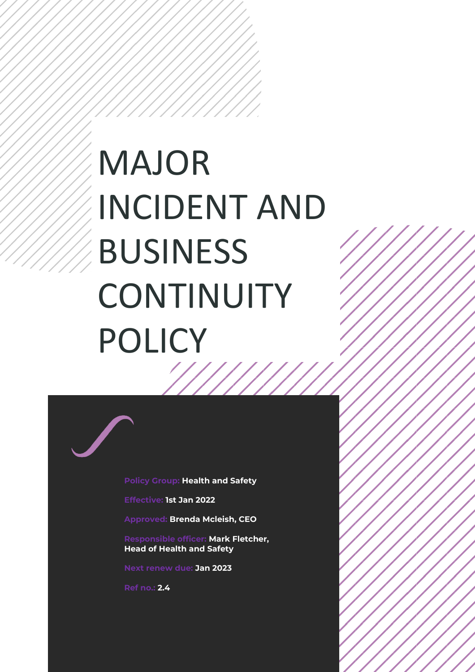# MAJOR INCIDENT AND BUSINESS **CONTINUITY** POLICY //////

**Policy Group: Health and Safety**

**Effective: 1st Jan 2022**

**Approved: Brenda Mcleish, CEO**

**Responsible officer: Mark Fletcher, Head of Health and Safety**

**Next renew due: Jan 2023**

**Ref no.: 2.4**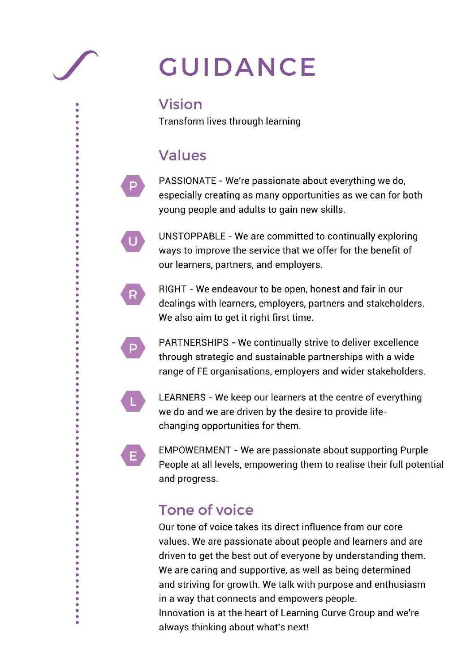## **GUIDANCE**

## **Vision**

Transform lives through learning

## **Values**

P

 $\mathbf U$ 

R.

P.

E.

¢

 $\ddot{\bullet}$ 

 $\begin{array}{ccc} \bullet & \bullet & \bullet & \bullet \end{array}$ 

PASSIONATE - We're passionate about everything we do, especially creating as many opportunities as we can for both young people and adults to gain new skills.

UNSTOPPABLE - We are committed to continually exploring ways to improve the service that we offer for the benefit of our learners, partners, and employers.

RIGHT - We endeavour to be open, honest and fair in our dealings with learners, employers, partners and stakeholders. We also aim to get it right first time.

PARTNERSHIPS - We continually strive to deliver excellence through strategic and sustainable partnerships with a wide range of FE organisations, employers and wider stakeholders.

LEARNERS - We keep our learners at the centre of everything we do and we are driven by the desire to provide lifechanging opportunities for them.

**EMPOWERMENT - We are passionate about supporting Purple** People at all levels, empowering them to realise their full potential and progress.

## **Tone of voice**

Our tone of voice takes its direct influence from our core values. We are passionate about people and learners and are driven to get the best out of everyone by understanding them. We are caring and supportive, as well as being determined and striving for growth. We talk with purpose and enthusiasm in a way that connects and empowers people. Innovation is at the heart of Learning Curve Group and we're always thinking about what's next!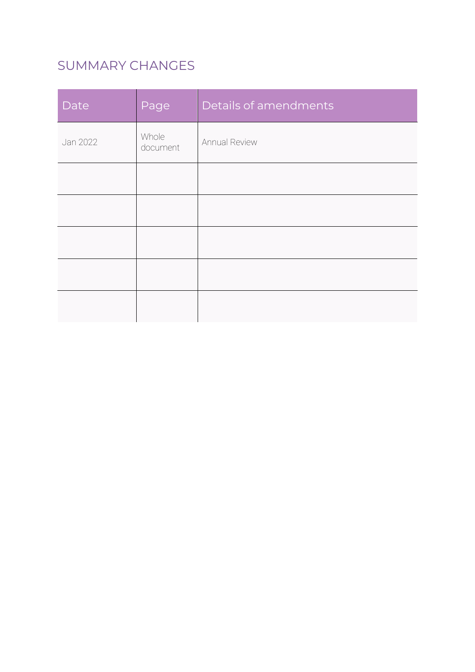## SUMMARY CHANGES

| Date     | Page              | Details of amendments |
|----------|-------------------|-----------------------|
| Jan 2022 | Whole<br>document | Annual Review         |
|          |                   |                       |
|          |                   |                       |
|          |                   |                       |
|          |                   |                       |
|          |                   |                       |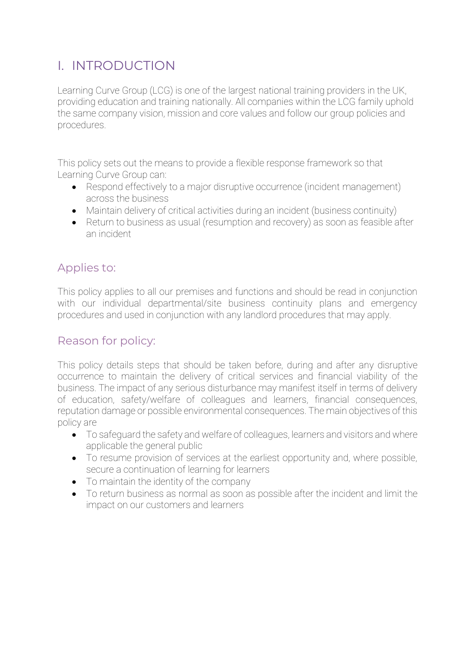## I. INTRODUCTION

Learning Curve Group (LCG) is one of the largest national training providers in the UK, providing education and training nationally. All companies within the LCG family uphold the same company vision, mission and core values and follow our group policies and procedures.

This policy sets out the means to provide a flexible response framework so that Learning Curve Group can:

- Respond effectively to a major disruptive occurrence (incident management) across the business
- Maintain delivery of critical activities during an incident (business continuity)
- Return to business as usual (resumption and recovery) as soon as feasible after an incident

#### Applies to:

This policy applies to all our premises and functions and should be read in conjunction with our individual departmental/site business continuity plans and emergency procedures and used in conjunction with any landlord procedures that may apply.

#### Reason for policy:

This policy details steps that should be taken before, during and after any disruptive occurrence to maintain the delivery of critical services and financial viability of the business. The impact of any serious disturbance may manifest itself in terms of delivery of education, safety/welfare of colleagues and learners, financial consequences, reputation damage or possible environmental consequences. The main objectives of this policy are

- To safeguard the safety and welfare of colleagues, learners and visitors and where applicable the general public
- To resume provision of services at the earliest opportunity and, where possible, secure a continuation of learning for learners
- To maintain the identity of the company
- To return business as normal as soon as possible after the incident and limit the impact on our customers and learners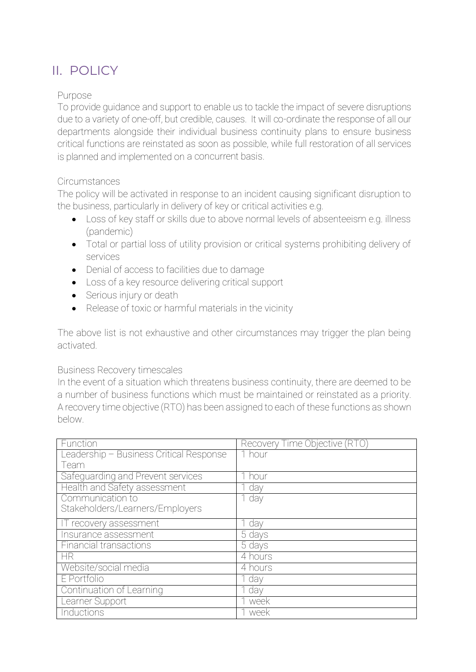## II. POLICY

#### Purpose

To provide guidance and support to enable us to tackle the impact of severe disruptions due to a variety of one-off, but credible, causes. It will co-ordinate the response of all our departments alongside their individual business continuity plans to ensure business critical functions are reinstated as soon as possible, while full restoration of all services is planned and implemented on a concurrent basis.

#### Circumstances

The policy will be activated in response to an incident causing significant disruption to the business, particularly in delivery of key or critical activities e.g.

- Loss of key staff or skills due to above normal levels of absenteeism e.g. illness (pandemic)
- Total or partial loss of utility provision or critical systems prohibiting delivery of services
- Denial of access to facilities due to damage
- Loss of a key resource delivering critical support
- Serious injury or death
- Release of toxic or harmful materials in the vicinity

The above list is not exhaustive and other circumstances may trigger the plan being activated.

#### Business Recovery timescales

In the event of a situation which threatens business continuity, there are deemed to be a number of business functions which must be maintained or reinstated as a priority. A recovery time objective (RTO) has been assigned to each of these functions as shown below.

| Function                                | Recovery Time Objective (RTO) |
|-----------------------------------------|-------------------------------|
| Leadership - Business Critical Response | 1 hour                        |
| Team                                    |                               |
| Safeguarding and Prevent services       | 1 hour                        |
| Health and Safety assessment            | 1 day                         |
| Communication to                        | 1 day                         |
| Stakeholders/Learners/Employers         |                               |
| IT recovery assessment                  | 1 day                         |
| Insurance assessment                    | 5 days                        |
| <b>Financial transactions</b>           | 5 days                        |
| <b>HR</b>                               | $\overline{4}$ hours          |
| Website/social media                    | 4 hours                       |
| E Portfolio                             | 1 day                         |
| Continuation of Learning                | day                           |
| Learner Support                         | week                          |
| Inductions                              | week                          |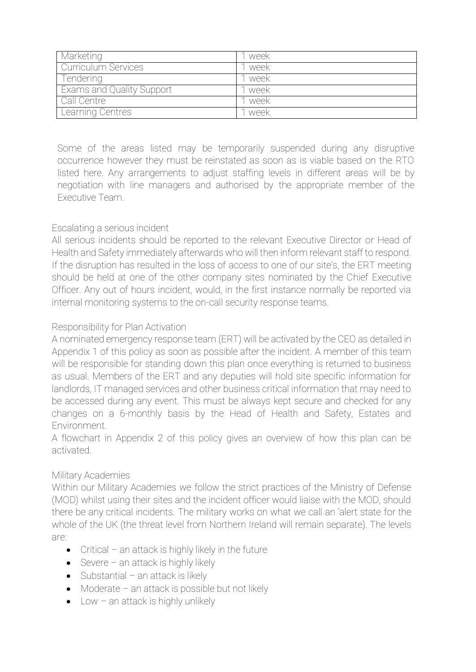| Marketing                        | week   |
|----------------------------------|--------|
| Curriculum Services              | week   |
| Tendering                        | week   |
| <b>Exams and Quality Support</b> | week   |
| Call Centre                      | ' week |
| Learning Centres                 | week   |

Some of the areas listed may be temporarily suspended during any disruptive occurrence however they must be reinstated as soon as is viable based on the RTO listed here. Any arrangements to adjust staffing levels in different areas will be by negotiation with line managers and authorised by the appropriate member of the Executive Team.

#### Escalating a serious incident

All serious incidents should be reported to the relevant Executive Director or Head of Health and Safety immediately afterwards who will then inform relevant staff to respond. If the disruption has resulted in the loss of access to one of our site's, the ERT meeting should be held at one of the other company sites nominated by the Chief Executive Officer. Any out of hours incident, would, in the first instance normally be reported via internal monitoring systems to the on-call security response teams.

#### Responsibility for Plan Activation

A nominated emergency response team (ERT) will be activated by the CEO as detailed in Appendix 1 of this policy as soon as possible after the incident. A member of this team will be responsible for standing down this plan once everything is returned to business as usual. Members of the ERT and any deputies will hold site specific information for landlords, IT managed services and other business critical information that may need to be accessed during any event. This must be always kept secure and checked for any changes on a 6-monthly basis by the Head of Health and Safety, Estates and Environment.

A flowchart in Appendix 2 of this policy gives an overview of how this plan can be activated.

#### Military Academies

Within our Military Academies we follow the strict practices of the Ministry of Defense (MOD) whilst using their sites and the incident officer would liaise with the MOD, should there be any critical incidents. The military works on what we call an 'alert state for the whole of the UK (the threat level from Northern Ireland will remain separate). The levels are:

- Critical an attack is highly likely in the future
- Severe  $-$  an attack is highly likely
- $\bullet$  Substantial an attack is likely
- Moderate an attack is possible but not likely
- Low  $-$  an attack is highly unlikely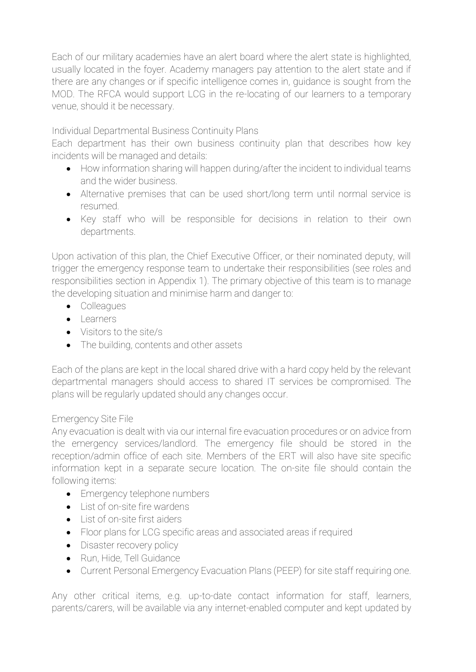Each of our military academies have an alert board where the alert state is highlighted, usually located in the foyer. Academy managers pay attention to the alert state and if there are any changes or if specific intelligence comes in, guidance is sought from the MOD. The RFCA would support LCG in the re-locating of our learners to a temporary venue, should it be necessary.

Individual Departmental Business Continuity Plans

Each department has their own business continuity plan that describes how key incidents will be managed and details:

- How information sharing will happen during/after the incident to individual teams and the wider business.
- Alternative premises that can be used short/long term until normal service is resumed.
- Key staff who will be responsible for decisions in relation to their own departments.

Upon activation of this plan, the Chief Executive Officer, or their nominated deputy, will trigger the emergency response team to undertake their responsibilities (see roles and responsibilities section in Appendix 1). The primary objective of this team is to manage the developing situation and minimise harm and danger to:

- Colleagues
- Learners
- Visitors to the site/s
- The building, contents and other assets

Each of the plans are kept in the local shared drive with a hard copy held by the relevant departmental managers should access to shared IT services be compromised. The plans will be regularly updated should any changes occur.

#### Emergency Site File

Any evacuation is dealt with via our internal fire evacuation procedures or on advice from the emergency services/landlord. The emergency file should be stored in the reception/admin office of each site. Members of the ERT will also have site specific information kept in a separate secure location. The on-site file should contain the following items:

- Emergency telephone numbers
- List of on-site fire wardens
- List of on-site first aiders
- Floor plans for LCG specific areas and associated areas if required
- Disaster recovery policy
- Run, Hide, Tell Guidance
- Current Personal Emergency Evacuation Plans (PEEP) for site staff requiring one.

Any other critical items, e.g. up-to-date contact information for staff, learners, parents/carers, will be available via any internet-enabled computer and kept updated by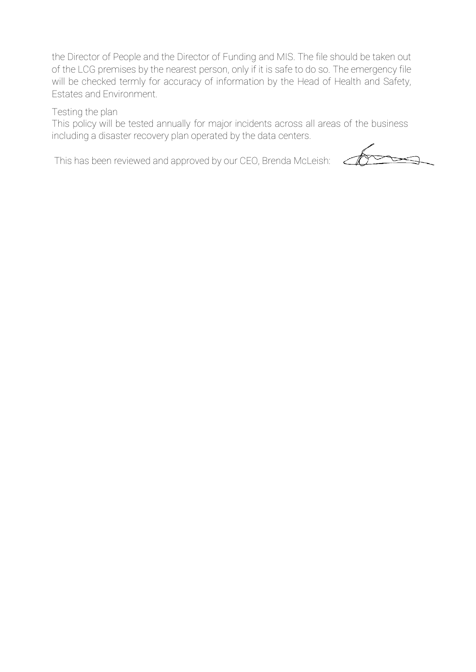the Director of People and the Director of Funding and MIS. The file should be taken out of the LCG premises by the nearest person, only if it is safe to do so. The emergency file will be checked termly for accuracy of information by the Head of Health and Safety, Estates and Environment.

Testing the plan

This policy will be tested annually for major incidents across all areas of the business including a disaster recovery plan operated by the data centers.

This has been reviewed and approved by our CEO, Brenda McLeish: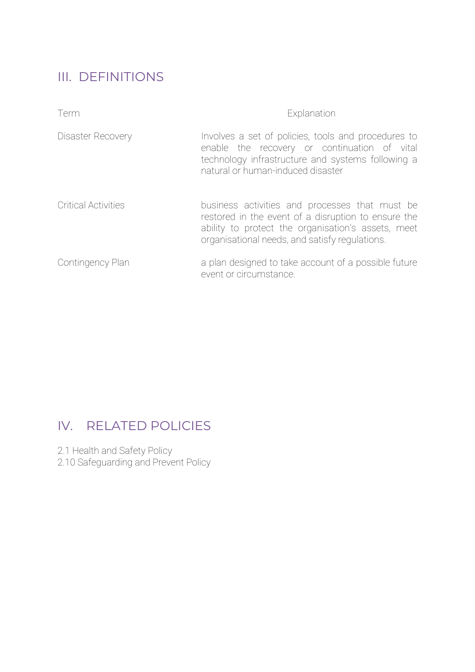## III. DEFINITIONS

| Term                       | Explanation                                                                                                                                                                                                   |
|----------------------------|---------------------------------------------------------------------------------------------------------------------------------------------------------------------------------------------------------------|
| Disaster Recovery          | Involves a set of policies, tools and procedures to<br>enable the recovery or continuation of vital<br>technology infrastructure and systems following a<br>natural or human-induced disaster                 |
| <b>Critical Activities</b> | business activities and processes that must be<br>restored in the event of a disruption to ensure the<br>ability to protect the organisation's assets, meet<br>organisational needs, and satisfy regulations. |
| Contingency Plan           | a plan designed to take account of a possible future<br>event or circumstance.                                                                                                                                |

## IV. RELATED POLICIES

2.1 Health and Safety Policy

2.10 Safeguarding and Prevent Policy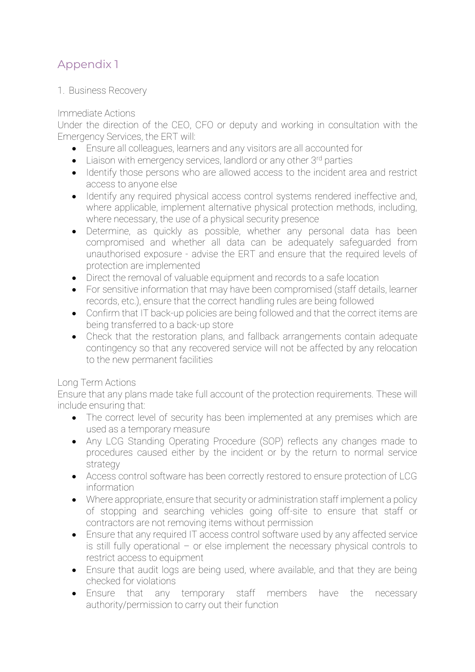### Appendix 1

1. Business Recovery

#### Immediate Actions

Under the direction of the CEO, CFO or deputy and working in consultation with the Emergency Services, the ERT will:

- Ensure all colleagues, learners and any visitors are all accounted for
- Liaison with emergency services, landlord or any other 3<sup>rd</sup> parties
- Identify those persons who are allowed access to the incident area and restrict access to anyone else
- Identify any required physical access control systems rendered ineffective and, where applicable, implement alternative physical protection methods, including, where necessary, the use of a physical security presence
- Determine, as quickly as possible, whether any personal data has been compromised and whether all data can be adequately safeguarded from unauthorised exposure - advise the ERT and ensure that the required levels of protection are implemented
- Direct the removal of valuable equipment and records to a safe location
- For sensitive information that may have been compromised (staff details, learner records, etc.), ensure that the correct handling rules are being followed
- Confirm that IT back-up policies are being followed and that the correct items are being transferred to a back-up store
- Check that the restoration plans, and fallback arrangements contain adequate contingency so that any recovered service will not be affected by any relocation to the new permanent facilities

#### Long Term Actions

Ensure that any plans made take full account of the protection requirements. These will include ensuring that:

- The correct level of security has been implemented at any premises which are used as a temporary measure
- Any LCG Standing Operating Procedure (SOP) reflects any changes made to procedures caused either by the incident or by the return to normal service strategy
- Access control software has been correctly restored to ensure protection of LCG information
- Where appropriate, ensure that security or administration staff implement a policy of stopping and searching vehicles going off-site to ensure that staff or contractors are not removing items without permission
- Ensure that any required IT access control software used by any affected service is still fully operational – or else implement the necessary physical controls to restrict access to equipment
- Ensure that audit logs are being used, where available, and that they are being checked for violations
- Ensure that any temporary staff members have the necessary authority/permission to carry out their function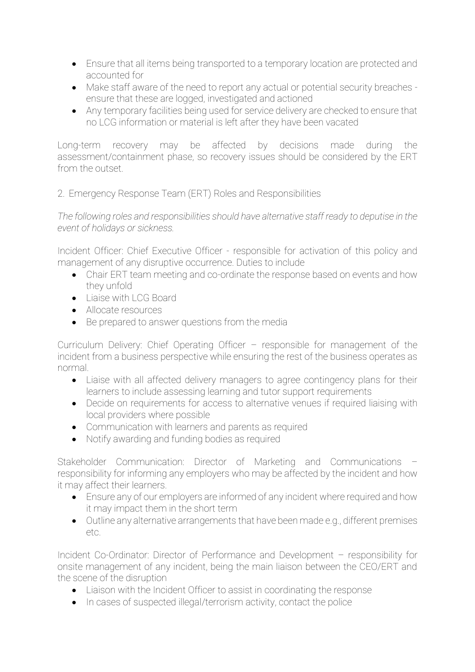- Ensure that all items being transported to a temporary location are protected and accounted for
- Make staff aware of the need to report any actual or potential security breaches ensure that these are logged, investigated and actioned
- Any temporary facilities being used for service delivery are checked to ensure that no LCG information or material is left after they have been vacated

Long-term recovery may be affected by decisions made during the assessment/containment phase, so recovery issues should be considered by the ERT from the outset.

#### 2. Emergency Response Team (ERT) Roles and Responsibilities

*The following roles and responsibilities should have alternative staff ready to deputise in the event of holidays or sickness.*

Incident Officer: Chief Executive Officer - responsible for activation of this policy and management of any disruptive occurrence. Duties to include

- Chair ERT team meeting and co-ordinate the response based on events and how they unfold
- Liaise with LCG Board
- Allocate resources
- Be prepared to answer questions from the media

Curriculum Delivery: Chief Operating Officer – responsible for management of the incident from a business perspective while ensuring the rest of the business operates as normal.

- Liaise with all affected delivery managers to agree contingency plans for their learners to include assessing learning and tutor support requirements
- Decide on requirements for access to alternative venues if required liaising with local providers where possible
- Communication with learners and parents as required
- Notify awarding and funding bodies as required

Stakeholder Communication: Director of Marketing and Communications – responsibility for informing any employers who may be affected by the incident and how it may affect their learners.

- Ensure any of our employers are informed of any incident where required and how it may impact them in the short term
- Outline any alternative arrangements that have been made e.g., different premises etc.

Incident Co-Ordinator: Director of Performance and Development – responsibility for onsite management of any incident, being the main liaison between the CEO/ERT and the scene of the disruption

- Liaison with the Incident Officer to assist in coordinating the response
- In cases of suspected illegal/terrorism activity, contact the police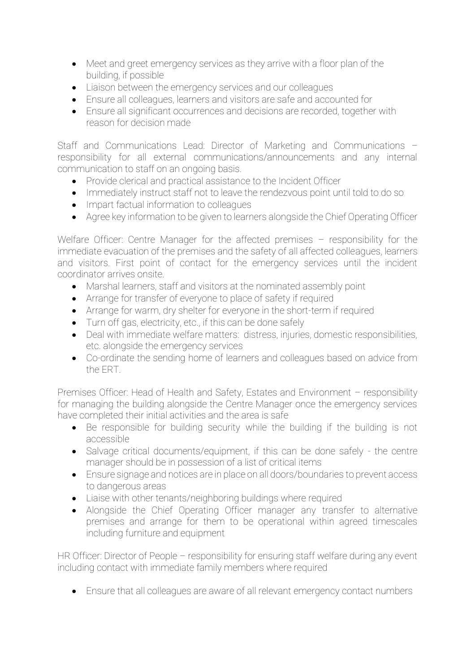- Meet and greet emergency services as they arrive with a floor plan of the building, if possible
- Liaison between the emergency services and our colleagues
- Ensure all colleagues, learners and visitors are safe and accounted for
- Ensure all significant occurrences and decisions are recorded, together with reason for decision made

Staff and Communications Lead: Director of Marketing and Communications – responsibility for all external communications/announcements and any internal communication to staff on an ongoing basis.

- Provide clerical and practical assistance to the Incident Officer
- Immediately instruct staff not to leave the rendezvous point until told to do so
- Impart factual information to colleagues
- Agree key information to be given to learners alongside the Chief Operating Officer

Welfare Officer: Centre Manager for the affected premises - responsibility for the immediate evacuation of the premises and the safety of all affected colleagues, learners and visitors. First point of contact for the emergency services until the incident coordinator arrives onsite.

- Marshal learners, staff and visitors at the nominated assembly point
- Arrange for transfer of everyone to place of safety if required
- Arrange for warm, dry shelter for everyone in the short-term if required
- Turn off gas, electricity, etc., if this can be done safely
- Deal with immediate welfare matters: distress, injuries, domestic responsibilities, etc. alongside the emergency services
- Co-ordinate the sending home of learners and colleagues based on advice from the ERT.

Premises Officer: Head of Health and Safety, Estates and Environment – responsibility for managing the building alongside the Centre Manager once the emergency services have completed their initial activities and the area is safe

- Be responsible for building security while the building if the building is not accessible
- Salvage critical documents/equipment, if this can be done safely the centre manager should be in possession of a list of critical items
- Ensure signage and notices are in place on all doors/boundaries to prevent access to dangerous areas
- Liaise with other tenants/neighboring buildings where required
- Alongside the Chief Operating Officer manager any transfer to alternative premises and arrange for them to be operational within agreed timescales including furniture and equipment

HR Officer: Director of People – responsibility for ensuring staff welfare during any event including contact with immediate family members where required

• Ensure that all colleagues are aware of all relevant emergency contact numbers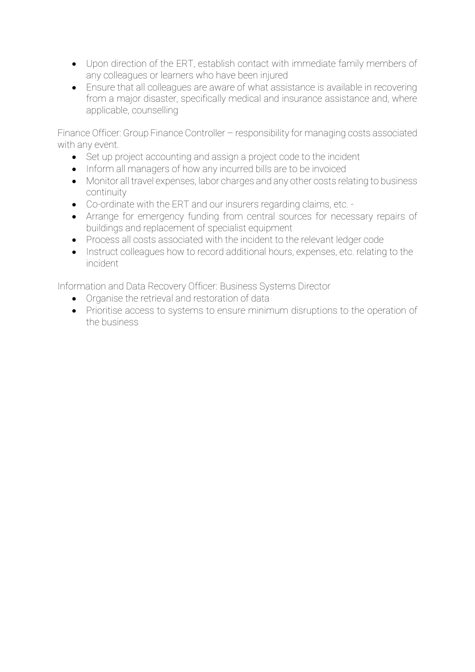- Upon direction of the ERT, establish contact with immediate family members of any colleagues or learners who have been injured
- Ensure that all colleagues are aware of what assistance is available in recovering from a major disaster, specifically medical and insurance assistance and, where applicable, counselling

Finance Officer: Group Finance Controller – responsibility for managing costs associated with any event.

- Set up project accounting and assign a project code to the incident
- Inform all managers of how any incurred bills are to be invoiced
- Monitor all travel expenses, labor charges and any other costs relating to business continuity
- Co-ordinate with the ERT and our insurers regarding claims, etc. -
- Arrange for emergency funding from central sources for necessary repairs of buildings and replacement of specialist equipment
- Process all costs associated with the incident to the relevant ledger code
- Instruct colleagues how to record additional hours, expenses, etc. relating to the incident

Information and Data Recovery Officer: Business Systems Director

- Organise the retrieval and restoration of data
- Prioritise access to systems to ensure minimum disruptions to the operation of the business